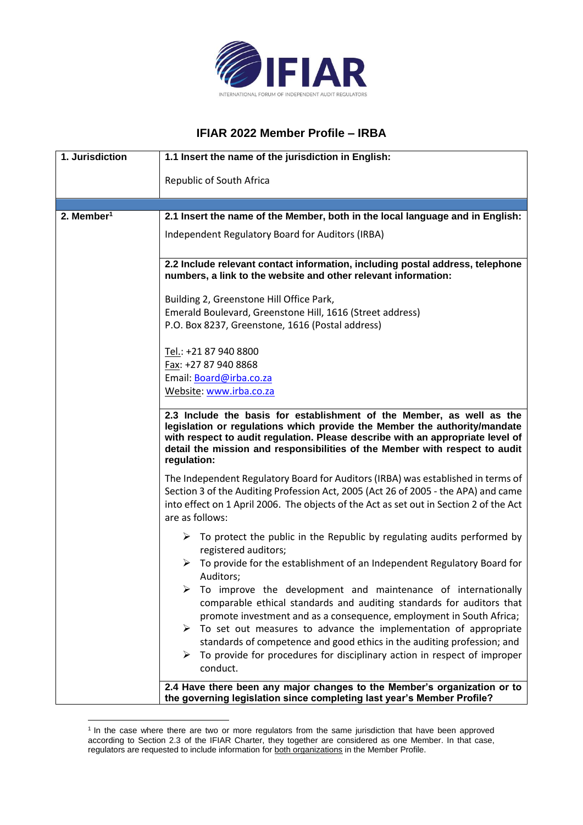

## **IFIAR 2022 Member Profile – IRBA**

| 1. Jurisdiction        | 1.1 Insert the name of the jurisdiction in English:                                                                                                                                                                                                                                                                                |
|------------------------|------------------------------------------------------------------------------------------------------------------------------------------------------------------------------------------------------------------------------------------------------------------------------------------------------------------------------------|
|                        | Republic of South Africa                                                                                                                                                                                                                                                                                                           |
|                        |                                                                                                                                                                                                                                                                                                                                    |
| 2. Member <sup>1</sup> | 2.1 Insert the name of the Member, both in the local language and in English:                                                                                                                                                                                                                                                      |
|                        | Independent Regulatory Board for Auditors (IRBA)                                                                                                                                                                                                                                                                                   |
|                        | 2.2 Include relevant contact information, including postal address, telephone<br>numbers, a link to the website and other relevant information:                                                                                                                                                                                    |
|                        | Building 2, Greenstone Hill Office Park,                                                                                                                                                                                                                                                                                           |
|                        | Emerald Boulevard, Greenstone Hill, 1616 (Street address)                                                                                                                                                                                                                                                                          |
|                        | P.O. Box 8237, Greenstone, 1616 (Postal address)                                                                                                                                                                                                                                                                                   |
|                        | Tel.: +21 87 940 8800                                                                                                                                                                                                                                                                                                              |
|                        | Fax: +27 87 940 8868                                                                                                                                                                                                                                                                                                               |
|                        | Email: Board@irba.co.za                                                                                                                                                                                                                                                                                                            |
|                        | Website: www.irba.co.za                                                                                                                                                                                                                                                                                                            |
|                        | 2.3 Include the basis for establishment of the Member, as well as the<br>legislation or regulations which provide the Member the authority/mandate<br>with respect to audit regulation. Please describe with an appropriate level of<br>detail the mission and responsibilities of the Member with respect to audit<br>regulation: |
|                        | The Independent Regulatory Board for Auditors (IRBA) was established in terms of<br>Section 3 of the Auditing Profession Act, 2005 (Act 26 of 2005 - the APA) and came<br>into effect on 1 April 2006. The objects of the Act as set out in Section 2 of the Act<br>are as follows:                                                |
|                        | $\triangleright$ To protect the public in the Republic by regulating audits performed by<br>registered auditors;                                                                                                                                                                                                                   |
|                        | $\triangleright$ To provide for the establishment of an Independent Regulatory Board for<br>Auditors;                                                                                                                                                                                                                              |
|                        | $\triangleright$ To improve the development and maintenance of internationally<br>comparable ethical standards and auditing standards for auditors that<br>promote investment and as a consequence, employment in South Africa;                                                                                                    |
|                        | $\triangleright$ To set out measures to advance the implementation of appropriate<br>standards of competence and good ethics in the auditing profession; and                                                                                                                                                                       |
|                        | To provide for procedures for disciplinary action in respect of improper<br>➤<br>conduct.                                                                                                                                                                                                                                          |
|                        | 2.4 Have there been any major changes to the Member's organization or to<br>the governing legislation since completing last year's Member Profile?                                                                                                                                                                                 |

<sup>&</sup>lt;sup>1</sup> In the case where there are two or more regulators from the same jurisdiction that have been approved according to Section 2.3 of the IFIAR Charter, they together are considered as one Member. In that case, regulators are requested to include information for both organizations in the Member Profile.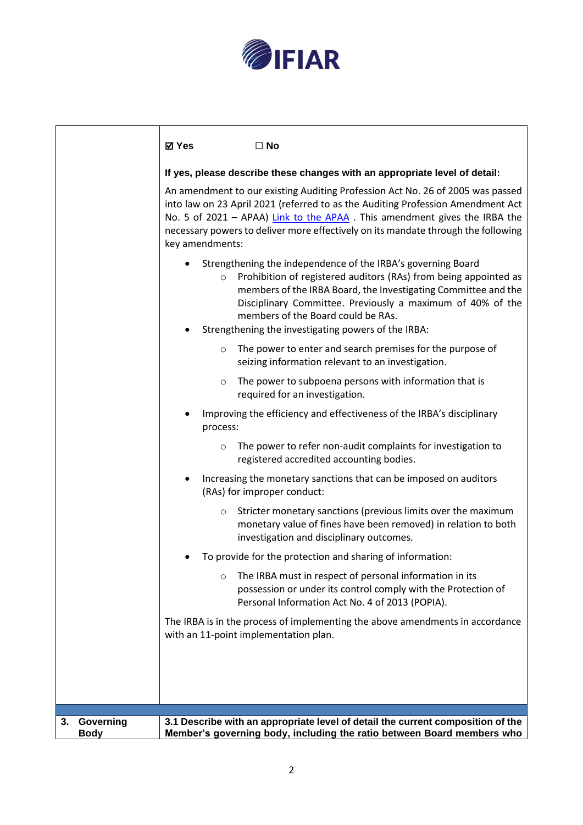

|                                | ⊠ Yes           | $\Box$ No                                                                                                                                                                                                                                                                                                                                                     |
|--------------------------------|-----------------|---------------------------------------------------------------------------------------------------------------------------------------------------------------------------------------------------------------------------------------------------------------------------------------------------------------------------------------------------------------|
|                                |                 | If yes, please describe these changes with an appropriate level of detail:                                                                                                                                                                                                                                                                                    |
|                                | key amendments: | An amendment to our existing Auditing Profession Act No. 26 of 2005 was passed<br>into law on 23 April 2021 (referred to as the Auditing Profession Amendment Act<br>No. 5 of 2021 - APAA) Link to the APAA. This amendment gives the IRBA the<br>necessary powers to deliver more effectively on its mandate through the following                           |
|                                | $\circ$         | Strengthening the independence of the IRBA's governing Board<br>Prohibition of registered auditors (RAs) from being appointed as<br>members of the IRBA Board, the Investigating Committee and the<br>Disciplinary Committee. Previously a maximum of 40% of the<br>members of the Board could be RAs.<br>Strengthening the investigating powers of the IRBA: |
|                                | $\circ$         | The power to enter and search premises for the purpose of<br>seizing information relevant to an investigation.                                                                                                                                                                                                                                                |
|                                | $\circ$         | The power to subpoena persons with information that is<br>required for an investigation.                                                                                                                                                                                                                                                                      |
|                                | process:        | Improving the efficiency and effectiveness of the IRBA's disciplinary                                                                                                                                                                                                                                                                                         |
|                                | $\circ$         | The power to refer non-audit complaints for investigation to<br>registered accredited accounting bodies.                                                                                                                                                                                                                                                      |
|                                |                 | Increasing the monetary sanctions that can be imposed on auditors<br>(RAs) for improper conduct:                                                                                                                                                                                                                                                              |
|                                | $\circ$         | Stricter monetary sanctions (previous limits over the maximum<br>monetary value of fines have been removed) in relation to both<br>investigation and disciplinary outcomes.                                                                                                                                                                                   |
|                                |                 | To provide for the protection and sharing of information:                                                                                                                                                                                                                                                                                                     |
|                                | $\circ$         | The IRBA must in respect of personal information in its<br>possession or under its control comply with the Protection of<br>Personal Information Act No. 4 of 2013 (POPIA).                                                                                                                                                                                   |
|                                |                 | The IRBA is in the process of implementing the above amendments in accordance<br>with an 11-point implementation plan.                                                                                                                                                                                                                                        |
|                                |                 |                                                                                                                                                                                                                                                                                                                                                               |
|                                |                 |                                                                                                                                                                                                                                                                                                                                                               |
|                                |                 |                                                                                                                                                                                                                                                                                                                                                               |
| Governing<br>3.<br><b>Body</b> |                 | 3.1 Describe with an appropriate level of detail the current composition of the<br>Member's governing body, including the ratio between Board members who                                                                                                                                                                                                     |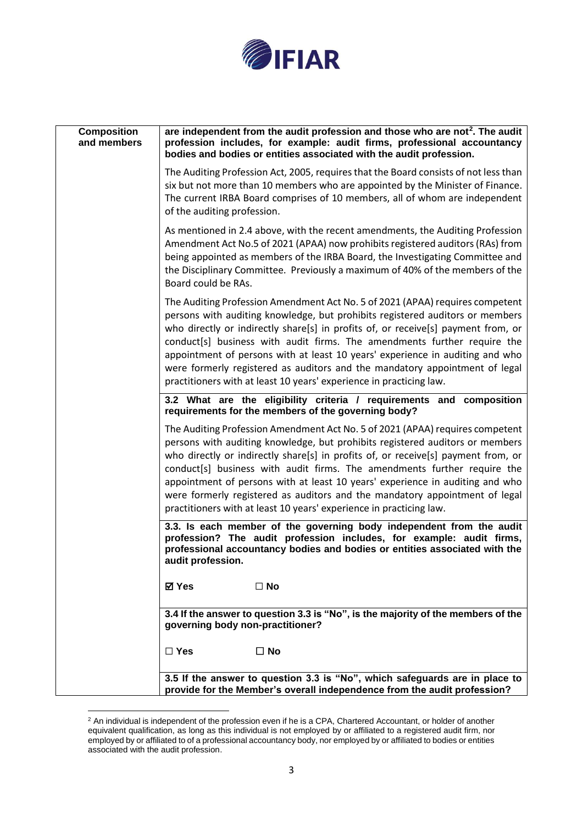

| <b>Composition</b><br>and members | are independent from the audit profession and those who are not <sup>2</sup> . The audit<br>profession includes, for example: audit firms, professional accountancy<br>bodies and bodies or entities associated with the audit profession.                                                                                                                                                                                                                                                                                                                             |
|-----------------------------------|------------------------------------------------------------------------------------------------------------------------------------------------------------------------------------------------------------------------------------------------------------------------------------------------------------------------------------------------------------------------------------------------------------------------------------------------------------------------------------------------------------------------------------------------------------------------|
|                                   | The Auditing Profession Act, 2005, requires that the Board consists of not less than<br>six but not more than 10 members who are appointed by the Minister of Finance.<br>The current IRBA Board comprises of 10 members, all of whom are independent<br>of the auditing profession.                                                                                                                                                                                                                                                                                   |
|                                   | As mentioned in 2.4 above, with the recent amendments, the Auditing Profession<br>Amendment Act No.5 of 2021 (APAA) now prohibits registered auditors (RAs) from<br>being appointed as members of the IRBA Board, the Investigating Committee and<br>the Disciplinary Committee. Previously a maximum of 40% of the members of the<br>Board could be RAs.                                                                                                                                                                                                              |
|                                   | The Auditing Profession Amendment Act No. 5 of 2021 (APAA) requires competent<br>persons with auditing knowledge, but prohibits registered auditors or members<br>who directly or indirectly share[s] in profits of, or receive[s] payment from, or<br>conduct[s] business with audit firms. The amendments further require the<br>appointment of persons with at least 10 years' experience in auditing and who<br>were formerly registered as auditors and the mandatory appointment of legal<br>practitioners with at least 10 years' experience in practicing law. |
|                                   | 3.2 What are the eligibility criteria / requirements and composition<br>requirements for the members of the governing body?                                                                                                                                                                                                                                                                                                                                                                                                                                            |
|                                   | The Auditing Profession Amendment Act No. 5 of 2021 (APAA) requires competent<br>persons with auditing knowledge, but prohibits registered auditors or members<br>who directly or indirectly share[s] in profits of, or receive[s] payment from, or<br>conduct[s] business with audit firms. The amendments further require the<br>appointment of persons with at least 10 years' experience in auditing and who<br>were formerly registered as auditors and the mandatory appointment of legal<br>practitioners with at least 10 years' experience in practicing law. |
|                                   | 3.3. Is each member of the governing body independent from the audit<br>profession? The audit profession includes, for example: audit firms,<br>professional accountancy bodies and bodies or entities associated with the<br>audit profession.                                                                                                                                                                                                                                                                                                                        |
|                                   | ⊠ Yes<br>$\Box$ No                                                                                                                                                                                                                                                                                                                                                                                                                                                                                                                                                     |
|                                   | 3.4 If the answer to question 3.3 is "No", is the majority of the members of the<br>governing body non-practitioner?                                                                                                                                                                                                                                                                                                                                                                                                                                                   |
|                                   | $\square$ Yes<br>$\square$ No                                                                                                                                                                                                                                                                                                                                                                                                                                                                                                                                          |
|                                   | 3.5 If the answer to question 3.3 is "No", which safeguards are in place to<br>provide for the Member's overall independence from the audit profession?                                                                                                                                                                                                                                                                                                                                                                                                                |

 $2$  An individual is independent of the profession even if he is a CPA, Chartered Accountant, or holder of another equivalent qualification, as long as this individual is not employed by or affiliated to a registered audit firm, nor employed by or affiliated to of a professional accountancy body, nor employed by or affiliated to bodies or entities associated with the audit profession.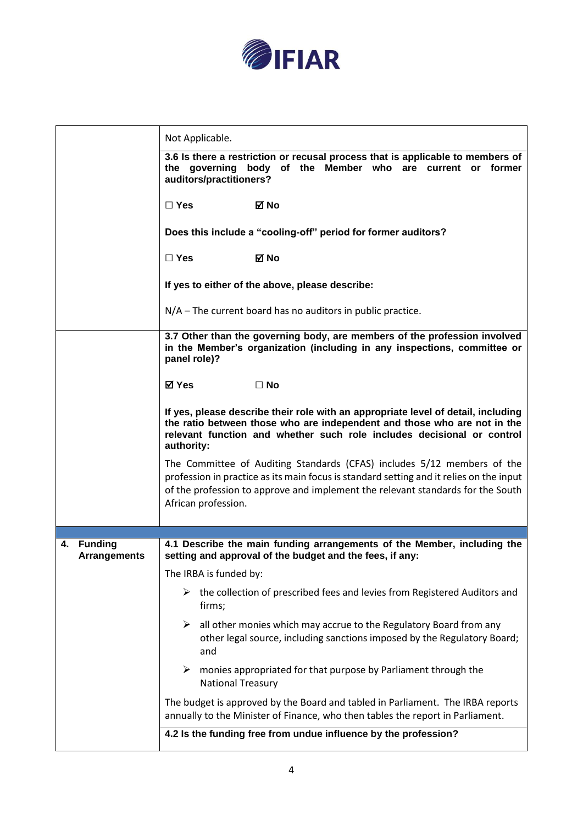

|                                   | Not Applicable.                                                                                                                                                                                                                                                              |  |
|-----------------------------------|------------------------------------------------------------------------------------------------------------------------------------------------------------------------------------------------------------------------------------------------------------------------------|--|
|                                   | 3.6 Is there a restriction or recusal process that is applicable to members of<br>the governing body of the Member who are current or former<br>auditors/practitioners?                                                                                                      |  |
|                                   | $\Box$ Yes<br>⊠ No                                                                                                                                                                                                                                                           |  |
|                                   | Does this include a "cooling-off" period for former auditors?                                                                                                                                                                                                                |  |
|                                   | $\Box$ Yes<br>⊠ No                                                                                                                                                                                                                                                           |  |
|                                   | If yes to either of the above, please describe:                                                                                                                                                                                                                              |  |
|                                   | $N/A$ – The current board has no auditors in public practice.                                                                                                                                                                                                                |  |
|                                   | 3.7 Other than the governing body, are members of the profession involved<br>in the Member's organization (including in any inspections, committee or<br>panel role)?                                                                                                        |  |
|                                   | ⊠ Yes<br>$\square$ No                                                                                                                                                                                                                                                        |  |
|                                   | If yes, please describe their role with an appropriate level of detail, including<br>the ratio between those who are independent and those who are not in the<br>relevant function and whether such role includes decisional or control<br>authority:                        |  |
|                                   | The Committee of Auditing Standards (CFAS) includes 5/12 members of the<br>profession in practice as its main focus is standard setting and it relies on the input<br>of the profession to approve and implement the relevant standards for the South<br>African profession. |  |
|                                   |                                                                                                                                                                                                                                                                              |  |
| 4. Funding<br><b>Arrangements</b> | 4.1 Describe the main funding arrangements of the Member, including the<br>setting and approval of the budget and the fees, if any:<br>The IRBA is funded by:                                                                                                                |  |
|                                   | the collection of prescribed fees and levies from Registered Auditors and<br>➤<br>firms;                                                                                                                                                                                     |  |
|                                   | ➤<br>all other monies which may accrue to the Regulatory Board from any<br>other legal source, including sanctions imposed by the Regulatory Board;<br>and                                                                                                                   |  |
|                                   | monies appropriated for that purpose by Parliament through the<br>➤<br><b>National Treasury</b>                                                                                                                                                                              |  |
|                                   | The budget is approved by the Board and tabled in Parliament. The IRBA reports<br>annually to the Minister of Finance, who then tables the report in Parliament.                                                                                                             |  |
|                                   | 4.2 Is the funding free from undue influence by the profession?                                                                                                                                                                                                              |  |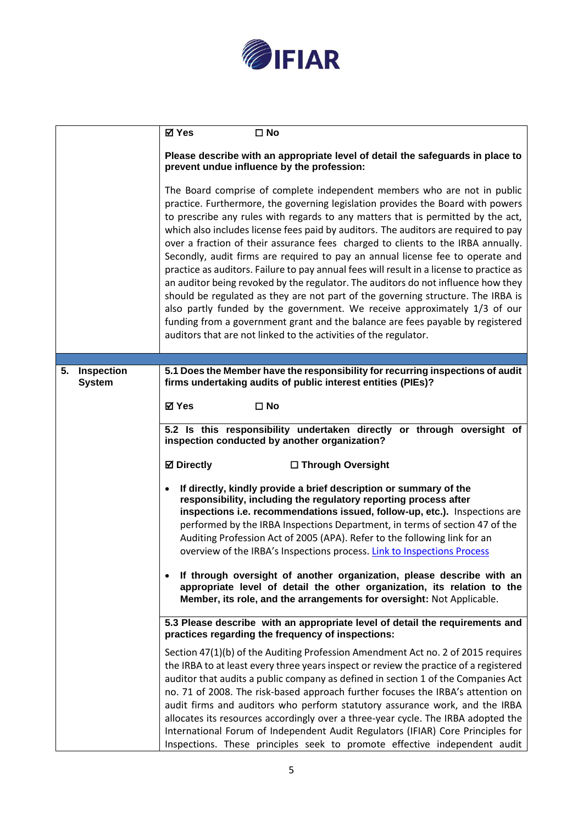

|                                   | <b>⊠</b> Yes<br>$\square$ No                                                                                                                                                                                                                                                                                                                                                                                                                                                                                                                                                                                                                                                                                                                                                                                                                                                                                                                                                                                         |
|-----------------------------------|----------------------------------------------------------------------------------------------------------------------------------------------------------------------------------------------------------------------------------------------------------------------------------------------------------------------------------------------------------------------------------------------------------------------------------------------------------------------------------------------------------------------------------------------------------------------------------------------------------------------------------------------------------------------------------------------------------------------------------------------------------------------------------------------------------------------------------------------------------------------------------------------------------------------------------------------------------------------------------------------------------------------|
|                                   | Please describe with an appropriate level of detail the safeguards in place to<br>prevent undue influence by the profession:                                                                                                                                                                                                                                                                                                                                                                                                                                                                                                                                                                                                                                                                                                                                                                                                                                                                                         |
|                                   | The Board comprise of complete independent members who are not in public<br>practice. Furthermore, the governing legislation provides the Board with powers<br>to prescribe any rules with regards to any matters that is permitted by the act,<br>which also includes license fees paid by auditors. The auditors are required to pay<br>over a fraction of their assurance fees charged to clients to the IRBA annually.<br>Secondly, audit firms are required to pay an annual license fee to operate and<br>practice as auditors. Failure to pay annual fees will result in a license to practice as<br>an auditor being revoked by the regulator. The auditors do not influence how they<br>should be regulated as they are not part of the governing structure. The IRBA is<br>also partly funded by the government. We receive approximately 1/3 of our<br>funding from a government grant and the balance are fees payable by registered<br>auditors that are not linked to the activities of the regulator. |
| Inspection<br>5.<br><b>System</b> | 5.1 Does the Member have the responsibility for recurring inspections of audit<br>firms undertaking audits of public interest entities (PIEs)?                                                                                                                                                                                                                                                                                                                                                                                                                                                                                                                                                                                                                                                                                                                                                                                                                                                                       |
|                                   | ⊠ Yes<br>$\square$ No                                                                                                                                                                                                                                                                                                                                                                                                                                                                                                                                                                                                                                                                                                                                                                                                                                                                                                                                                                                                |
|                                   | 5.2 Is this responsibility undertaken directly or through oversight of<br>inspection conducted by another organization?                                                                                                                                                                                                                                                                                                                                                                                                                                                                                                                                                                                                                                                                                                                                                                                                                                                                                              |
|                                   | <b>⊠</b> Directly<br>□ Through Oversight                                                                                                                                                                                                                                                                                                                                                                                                                                                                                                                                                                                                                                                                                                                                                                                                                                                                                                                                                                             |
|                                   | If directly, kindly provide a brief description or summary of the<br>$\bullet$<br>responsibility, including the regulatory reporting process after<br>inspections i.e. recommendations issued, follow-up, etc.). Inspections are<br>performed by the IRBA Inspections Department, in terms of section 47 of the<br>Auditing Profession Act of 2005 (APA). Refer to the following link for an<br>overview of the IRBA's Inspections process. Link to Inspections Process<br>If through oversight of another organization, please describe with an<br>$\bullet$<br>appropriate level of detail the other organization, its relation to the<br>Member, its role, and the arrangements for oversight: Not Applicable.                                                                                                                                                                                                                                                                                                    |
|                                   | 5.3 Please describe with an appropriate level of detail the requirements and<br>practices regarding the frequency of inspections:                                                                                                                                                                                                                                                                                                                                                                                                                                                                                                                                                                                                                                                                                                                                                                                                                                                                                    |
|                                   | Section 47(1)(b) of the Auditing Profession Amendment Act no. 2 of 2015 requires<br>the IRBA to at least every three years inspect or review the practice of a registered<br>auditor that audits a public company as defined in section 1 of the Companies Act<br>no. 71 of 2008. The risk-based approach further focuses the IRBA's attention on<br>audit firms and auditors who perform statutory assurance work, and the IRBA<br>allocates its resources accordingly over a three-year cycle. The IRBA adopted the<br>International Forum of Independent Audit Regulators (IFIAR) Core Principles for<br>Inspections. These principles seek to promote effective independent audit                                                                                                                                                                                                                                                                                                                                |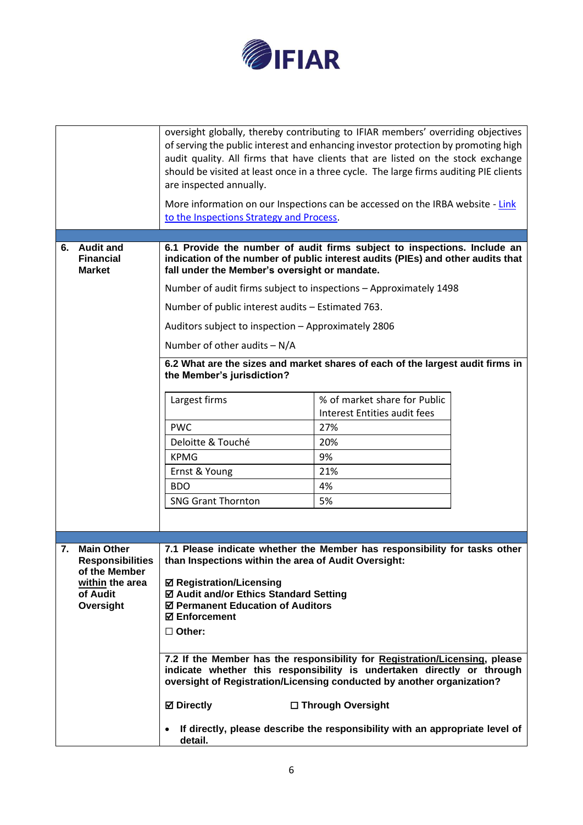

|                                                                                                                 | oversight globally, thereby contributing to IFIAR members' overriding objectives<br>of serving the public interest and enhancing investor protection by promoting high<br>audit quality. All firms that have clients that are listed on the stock exchange<br>should be visited at least once in a three cycle. The large firms auditing PIE clients<br>are inspected annually.<br>More information on our Inspections can be accessed on the IRBA website - Link<br>to the Inspections Strategy and Process.                                                         |                                                                                                     |  |
|-----------------------------------------------------------------------------------------------------------------|-----------------------------------------------------------------------------------------------------------------------------------------------------------------------------------------------------------------------------------------------------------------------------------------------------------------------------------------------------------------------------------------------------------------------------------------------------------------------------------------------------------------------------------------------------------------------|-----------------------------------------------------------------------------------------------------|--|
| 6. Audit and<br><b>Financial</b><br><b>Market</b>                                                               | 6.1 Provide the number of audit firms subject to inspections. Include an<br>indication of the number of public interest audits (PIEs) and other audits that<br>fall under the Member's oversight or mandate.                                                                                                                                                                                                                                                                                                                                                          |                                                                                                     |  |
|                                                                                                                 | Number of audit firms subject to inspections - Approximately 1498                                                                                                                                                                                                                                                                                                                                                                                                                                                                                                     |                                                                                                     |  |
|                                                                                                                 | Number of public interest audits - Estimated 763.                                                                                                                                                                                                                                                                                                                                                                                                                                                                                                                     |                                                                                                     |  |
|                                                                                                                 | Auditors subject to inspection - Approximately 2806                                                                                                                                                                                                                                                                                                                                                                                                                                                                                                                   |                                                                                                     |  |
|                                                                                                                 | Number of other audits $- N/A$                                                                                                                                                                                                                                                                                                                                                                                                                                                                                                                                        |                                                                                                     |  |
|                                                                                                                 | 6.2 What are the sizes and market shares of each of the largest audit firms in<br>the Member's jurisdiction?                                                                                                                                                                                                                                                                                                                                                                                                                                                          |                                                                                                     |  |
|                                                                                                                 | Largest firms                                                                                                                                                                                                                                                                                                                                                                                                                                                                                                                                                         | % of market share for Public<br>Interest Entities audit fees                                        |  |
|                                                                                                                 | <b>PWC</b>                                                                                                                                                                                                                                                                                                                                                                                                                                                                                                                                                            | 27%                                                                                                 |  |
|                                                                                                                 | Deloitte & Touché                                                                                                                                                                                                                                                                                                                                                                                                                                                                                                                                                     | 20%                                                                                                 |  |
|                                                                                                                 | <b>KPMG</b>                                                                                                                                                                                                                                                                                                                                                                                                                                                                                                                                                           | 9%                                                                                                  |  |
|                                                                                                                 | Ernst & Young                                                                                                                                                                                                                                                                                                                                                                                                                                                                                                                                                         | 21%                                                                                                 |  |
|                                                                                                                 | <b>BDO</b>                                                                                                                                                                                                                                                                                                                                                                                                                                                                                                                                                            | 4%                                                                                                  |  |
|                                                                                                                 | <b>SNG Grant Thornton</b>                                                                                                                                                                                                                                                                                                                                                                                                                                                                                                                                             | 5%                                                                                                  |  |
|                                                                                                                 |                                                                                                                                                                                                                                                                                                                                                                                                                                                                                                                                                                       |                                                                                                     |  |
| <b>Main Other</b><br>7.<br><b>Responsibilities</b><br>of the Member<br>within the area<br>of Audit<br>Oversight | 7.1 Please indicate whether the Member has responsibility for tasks other<br>than Inspections within the area of Audit Oversight:<br>☑ Registration/Licensing<br>☑ Audit and/or Ethics Standard Setting<br>☑ Permanent Education of Auditors<br><b>☑ Enforcement</b><br>$\Box$ Other:<br>7.2 If the Member has the responsibility for Registration/Licensing, please<br>indicate whether this responsibility is undertaken directly or through<br>oversight of Registration/Licensing conducted by another organization?<br><b>⊠</b> Directly<br>$\bullet$<br>detail. | □ Through Oversight<br>If directly, please describe the responsibility with an appropriate level of |  |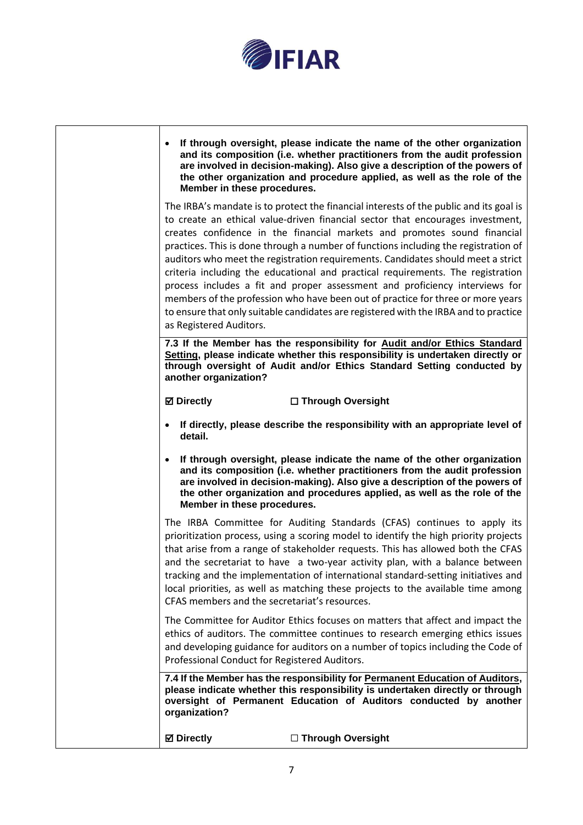

| $\bullet$<br>Member in these procedures.      | If through oversight, please indicate the name of the other organization<br>and its composition (i.e. whether practitioners from the audit profession<br>are involved in decision-making). Also give a description of the powers of<br>the other organization and procedure applied, as well as the role of the                                                                                                                                                                                                                                                                                                                                                                                                                                                              |
|-----------------------------------------------|------------------------------------------------------------------------------------------------------------------------------------------------------------------------------------------------------------------------------------------------------------------------------------------------------------------------------------------------------------------------------------------------------------------------------------------------------------------------------------------------------------------------------------------------------------------------------------------------------------------------------------------------------------------------------------------------------------------------------------------------------------------------------|
| as Registered Auditors.                       | The IRBA's mandate is to protect the financial interests of the public and its goal is<br>to create an ethical value-driven financial sector that encourages investment,<br>creates confidence in the financial markets and promotes sound financial<br>practices. This is done through a number of functions including the registration of<br>auditors who meet the registration requirements. Candidates should meet a strict<br>criteria including the educational and practical requirements. The registration<br>process includes a fit and proper assessment and proficiency interviews for<br>members of the profession who have been out of practice for three or more years<br>to ensure that only suitable candidates are registered with the IRBA and to practice |
| another organization?                         | 7.3 If the Member has the responsibility for Audit and/or Ethics Standard<br>Setting, please indicate whether this responsibility is undertaken directly or<br>through oversight of Audit and/or Ethics Standard Setting conducted by                                                                                                                                                                                                                                                                                                                                                                                                                                                                                                                                        |
| <b>⊠</b> Directly                             | □ Through Oversight                                                                                                                                                                                                                                                                                                                                                                                                                                                                                                                                                                                                                                                                                                                                                          |
| $\bullet$<br>detail.                          | If directly, please describe the responsibility with an appropriate level of                                                                                                                                                                                                                                                                                                                                                                                                                                                                                                                                                                                                                                                                                                 |
| $\bullet$<br>Member in these procedures.      | If through oversight, please indicate the name of the other organization<br>and its composition (i.e. whether practitioners from the audit profession<br>are involved in decision-making). Also give a description of the powers of<br>the other organization and procedures applied, as well as the role of the                                                                                                                                                                                                                                                                                                                                                                                                                                                             |
| CFAS members and the secretariat's resources. | The IRBA Committee for Auditing Standards (CFAS) continues to apply its<br>prioritization process, using a scoring model to identify the high priority projects<br>that arise from a range of stakeholder requests. This has allowed both the CFAS<br>and the secretariat to have a two-year activity plan, with a balance between<br>tracking and the implementation of international standard-setting initiatives and<br>local priorities, as well as matching these projects to the available time among                                                                                                                                                                                                                                                                  |
| Professional Conduct for Registered Auditors. | The Committee for Auditor Ethics focuses on matters that affect and impact the<br>ethics of auditors. The committee continues to research emerging ethics issues<br>and developing guidance for auditors on a number of topics including the Code of                                                                                                                                                                                                                                                                                                                                                                                                                                                                                                                         |
| organization?                                 | 7.4 If the Member has the responsibility for Permanent Education of Auditors,<br>please indicate whether this responsibility is undertaken directly or through<br>oversight of Permanent Education of Auditors conducted by another                                                                                                                                                                                                                                                                                                                                                                                                                                                                                                                                          |
| <b>☑ Directly</b>                             | □ Through Oversight                                                                                                                                                                                                                                                                                                                                                                                                                                                                                                                                                                                                                                                                                                                                                          |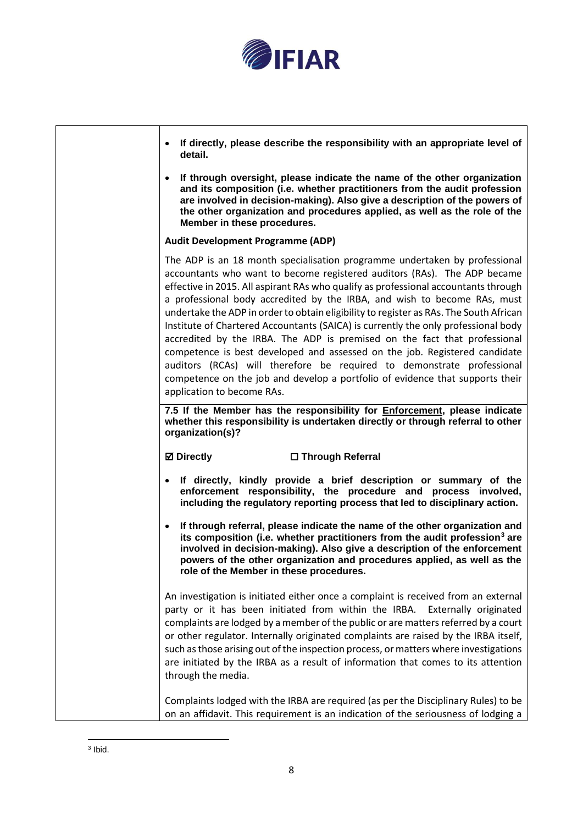

| • If directly, please describe the responsibility with an appropriate level of<br>detail.                                                                                                                                                                                                                                                                                                                                                                                                                                                                                                                                                                                                                                                                                                                                                                     |
|---------------------------------------------------------------------------------------------------------------------------------------------------------------------------------------------------------------------------------------------------------------------------------------------------------------------------------------------------------------------------------------------------------------------------------------------------------------------------------------------------------------------------------------------------------------------------------------------------------------------------------------------------------------------------------------------------------------------------------------------------------------------------------------------------------------------------------------------------------------|
| If through oversight, please indicate the name of the other organization<br>$\bullet$<br>and its composition (i.e. whether practitioners from the audit profession<br>are involved in decision-making). Also give a description of the powers of<br>the other organization and procedures applied, as well as the role of the<br>Member in these procedures.                                                                                                                                                                                                                                                                                                                                                                                                                                                                                                  |
| <b>Audit Development Programme (ADP)</b>                                                                                                                                                                                                                                                                                                                                                                                                                                                                                                                                                                                                                                                                                                                                                                                                                      |
| The ADP is an 18 month specialisation programme undertaken by professional<br>accountants who want to become registered auditors (RAs). The ADP became<br>effective in 2015. All aspirant RAs who qualify as professional accountants through<br>a professional body accredited by the IRBA, and wish to become RAs, must<br>undertake the ADP in order to obtain eligibility to register as RAs. The South African<br>Institute of Chartered Accountants (SAICA) is currently the only professional body<br>accredited by the IRBA. The ADP is premised on the fact that professional<br>competence is best developed and assessed on the job. Registered candidate<br>auditors (RCAs) will therefore be required to demonstrate professional<br>competence on the job and develop a portfolio of evidence that supports their<br>application to become RAs. |
| 7.5 If the Member has the responsibility for <b>Enforcement</b> , please indicate                                                                                                                                                                                                                                                                                                                                                                                                                                                                                                                                                                                                                                                                                                                                                                             |
| whether this responsibility is undertaken directly or through referral to other<br>organization(s)?                                                                                                                                                                                                                                                                                                                                                                                                                                                                                                                                                                                                                                                                                                                                                           |
| <b>Ø</b> Directly<br>□ Through Referral                                                                                                                                                                                                                                                                                                                                                                                                                                                                                                                                                                                                                                                                                                                                                                                                                       |
| • If directly, kindly provide a brief description or summary of the<br>enforcement responsibility, the procedure and process involved,<br>including the regulatory reporting process that led to disciplinary action.                                                                                                                                                                                                                                                                                                                                                                                                                                                                                                                                                                                                                                         |
| If through referral, please indicate the name of the other organization and<br>$\bullet$<br>its composition (i.e. whether practitioners from the audit profession <sup>3</sup> are<br>involved in decision-making). Also give a description of the enforcement<br>powers of the other organization and procedures applied, as well as the<br>role of the Member in these procedures.                                                                                                                                                                                                                                                                                                                                                                                                                                                                          |
| An investigation is initiated either once a complaint is received from an external<br>party or it has been initiated from within the IRBA. Externally originated<br>complaints are lodged by a member of the public or are matters referred by a court<br>or other regulator. Internally originated complaints are raised by the IRBA itself,<br>such as those arising out of the inspection process, or matters where investigations<br>are initiated by the IRBA as a result of information that comes to its attention<br>through the media.                                                                                                                                                                                                                                                                                                               |
| Complaints lodged with the IRBA are required (as per the Disciplinary Rules) to be<br>on an affidavit. This requirement is an indication of the seriousness of lodging a                                                                                                                                                                                                                                                                                                                                                                                                                                                                                                                                                                                                                                                                                      |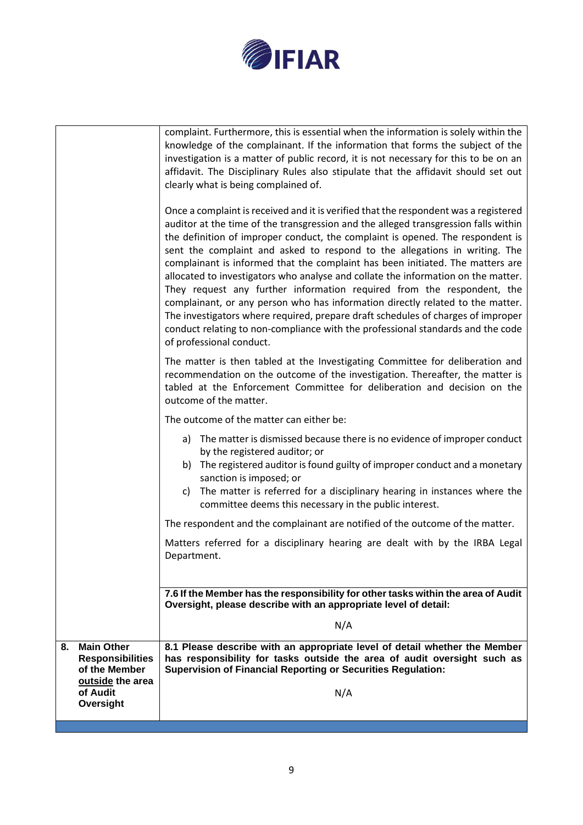

|    |                                                                                               | complaint. Furthermore, this is essential when the information is solely within the<br>knowledge of the complainant. If the information that forms the subject of the<br>investigation is a matter of public record, it is not necessary for this to be on an<br>affidavit. The Disciplinary Rules also stipulate that the affidavit should set out<br>clearly what is being complained of.<br>Once a complaint is received and it is verified that the respondent was a registered<br>auditor at the time of the transgression and the alleged transgression falls within<br>the definition of improper conduct, the complaint is opened. The respondent is<br>sent the complaint and asked to respond to the allegations in writing. The<br>complainant is informed that the complaint has been initiated. The matters are<br>allocated to investigators who analyse and collate the information on the matter.<br>They request any further information required from the respondent, the<br>complainant, or any person who has information directly related to the matter.<br>The investigators where required, prepare draft schedules of charges of improper<br>conduct relating to non-compliance with the professional standards and the code<br>of professional conduct. |
|----|-----------------------------------------------------------------------------------------------|----------------------------------------------------------------------------------------------------------------------------------------------------------------------------------------------------------------------------------------------------------------------------------------------------------------------------------------------------------------------------------------------------------------------------------------------------------------------------------------------------------------------------------------------------------------------------------------------------------------------------------------------------------------------------------------------------------------------------------------------------------------------------------------------------------------------------------------------------------------------------------------------------------------------------------------------------------------------------------------------------------------------------------------------------------------------------------------------------------------------------------------------------------------------------------------------------------------------------------------------------------------------------------|
|    |                                                                                               | The matter is then tabled at the Investigating Committee for deliberation and<br>recommendation on the outcome of the investigation. Thereafter, the matter is<br>tabled at the Enforcement Committee for deliberation and decision on the<br>outcome of the matter.                                                                                                                                                                                                                                                                                                                                                                                                                                                                                                                                                                                                                                                                                                                                                                                                                                                                                                                                                                                                             |
|    |                                                                                               | The outcome of the matter can either be:                                                                                                                                                                                                                                                                                                                                                                                                                                                                                                                                                                                                                                                                                                                                                                                                                                                                                                                                                                                                                                                                                                                                                                                                                                         |
|    |                                                                                               | a) The matter is dismissed because there is no evidence of improper conduct<br>by the registered auditor; or<br>b) The registered auditor is found guilty of improper conduct and a monetary<br>sanction is imposed; or<br>The matter is referred for a disciplinary hearing in instances where the<br>C)<br>committee deems this necessary in the public interest.                                                                                                                                                                                                                                                                                                                                                                                                                                                                                                                                                                                                                                                                                                                                                                                                                                                                                                              |
|    |                                                                                               | The respondent and the complainant are notified of the outcome of the matter.                                                                                                                                                                                                                                                                                                                                                                                                                                                                                                                                                                                                                                                                                                                                                                                                                                                                                                                                                                                                                                                                                                                                                                                                    |
|    |                                                                                               | Matters referred for a disciplinary hearing are dealt with by the IRBA Legal<br>Department.                                                                                                                                                                                                                                                                                                                                                                                                                                                                                                                                                                                                                                                                                                                                                                                                                                                                                                                                                                                                                                                                                                                                                                                      |
|    |                                                                                               | 7.6 If the Member has the responsibility for other tasks within the area of Audit                                                                                                                                                                                                                                                                                                                                                                                                                                                                                                                                                                                                                                                                                                                                                                                                                                                                                                                                                                                                                                                                                                                                                                                                |
|    |                                                                                               | Oversight, please describe with an appropriate level of detail:                                                                                                                                                                                                                                                                                                                                                                                                                                                                                                                                                                                                                                                                                                                                                                                                                                                                                                                                                                                                                                                                                                                                                                                                                  |
|    |                                                                                               | N/A                                                                                                                                                                                                                                                                                                                                                                                                                                                                                                                                                                                                                                                                                                                                                                                                                                                                                                                                                                                                                                                                                                                                                                                                                                                                              |
| 8. | <b>Main Other</b><br><b>Responsibilities</b><br>of the Member<br>outside the area<br>of Audit | 8.1 Please describe with an appropriate level of detail whether the Member<br>has responsibility for tasks outside the area of audit oversight such as<br><b>Supervision of Financial Reporting or Securities Regulation:</b><br>N/A                                                                                                                                                                                                                                                                                                                                                                                                                                                                                                                                                                                                                                                                                                                                                                                                                                                                                                                                                                                                                                             |
|    | Oversight                                                                                     |                                                                                                                                                                                                                                                                                                                                                                                                                                                                                                                                                                                                                                                                                                                                                                                                                                                                                                                                                                                                                                                                                                                                                                                                                                                                                  |
|    |                                                                                               |                                                                                                                                                                                                                                                                                                                                                                                                                                                                                                                                                                                                                                                                                                                                                                                                                                                                                                                                                                                                                                                                                                                                                                                                                                                                                  |